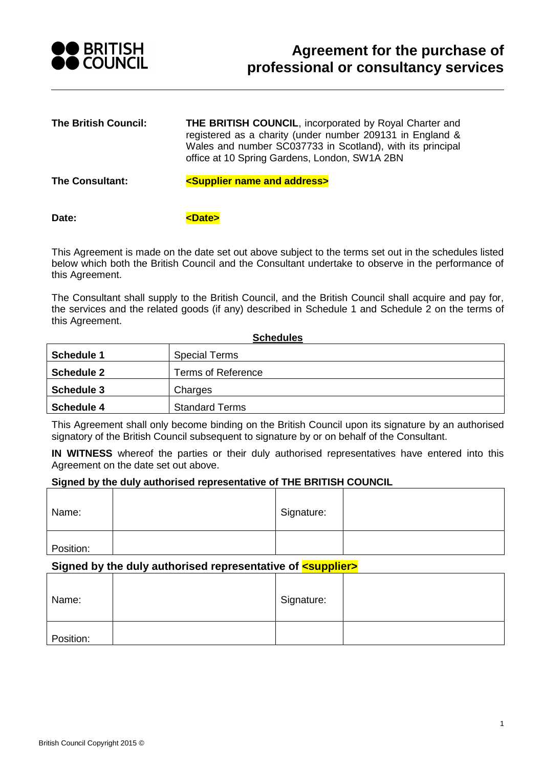

| <b>The British Council:</b> | <b>THE BRITISH COUNCIL, incorporated by Royal Charter and</b><br>registered as a charity (under number 209131 in England &<br>Wales and number SC037733 in Scotland), with its principal<br>office at 10 Spring Gardens, London, SW1A 2BN |
|-----------------------------|-------------------------------------------------------------------------------------------------------------------------------------------------------------------------------------------------------------------------------------------|
| <b>The Consultant:</b>      | <supplier address="" and="" name=""></supplier>                                                                                                                                                                                           |

Date: **but a contract to contract the contract of**  $\epsilon$ **Dates** 

This Agreement is made on the date set out above subject to the terms set out in the schedules listed below which both the British Council and the Consultant undertake to observe in the performance of this Agreement.

The Consultant shall supply to the British Council, and the British Council shall acquire and pay for, the services and the related goods (if any) described in [Schedule 1](#page-1-0) and [Schedule 2](#page-2-0) on the terms of this Agreement.

| <b>Schedules</b>  |                           |  |
|-------------------|---------------------------|--|
| <b>Schedule 1</b> | <b>Special Terms</b>      |  |
| <b>Schedule 2</b> | <b>Terms of Reference</b> |  |
| <b>Schedule 3</b> | Charges                   |  |
| <b>Schedule 4</b> | <b>Standard Terms</b>     |  |

This Agreement shall only become binding on the British Council upon its signature by an authorised signatory of the British Council subsequent to signature by or on behalf of the Consultant.

**IN WITNESS** whereof the parties or their duly authorised representatives have entered into this Agreement on the date set out above.

#### **Signed by the duly authorised representative of THE BRITISH COUNCIL**

| Name:     | Signature: |  |
|-----------|------------|--|
| Position: |            |  |

## **Signed by the duly authorised representative of** *<supplier>*

| Name:     | Signature: |  |
|-----------|------------|--|
| Position: |            |  |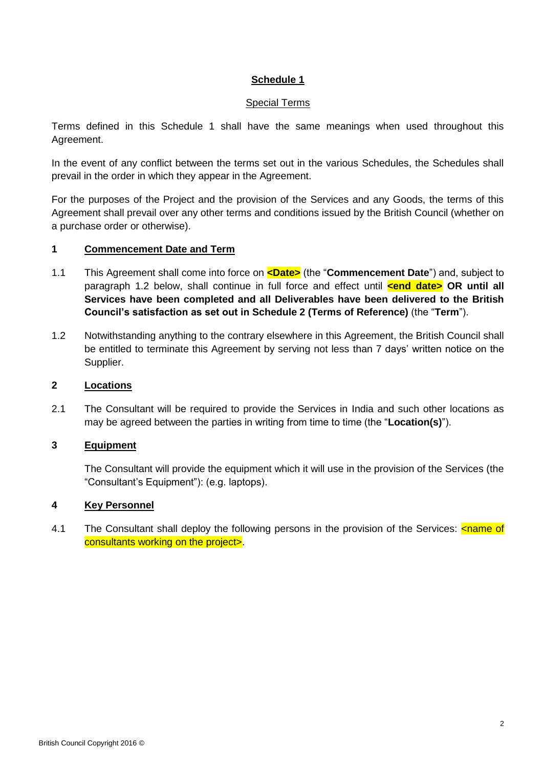# **Schedule 1**

#### Special Terms

<span id="page-1-0"></span>Terms defined in this [Schedule 1](#page-1-0) shall have the same meanings when used throughout this Agreement.

In the event of any conflict between the terms set out in the various Schedules, the Schedules shall prevail in the order in which they appear in the Agreement.

For the purposes of the Project and the provision of the Services and any Goods, the terms of this Agreement shall prevail over any other terms and conditions issued by the British Council (whether on a purchase order or otherwise).

### **1 Commencement Date and Term**

- 1.1 This Agreement shall come into force on **<Date>** (the "**Commencement Date**") and, subject to paragraph [1.2](#page-1-1) below, shall continue in full force and effect until **<end date> OR until all Services have been completed and all Deliverables have been delivered to the British Council's satisfaction as set out in [Schedule 2](#page-2-0) (Terms of Reference)** (the "**Term**").
- <span id="page-1-1"></span>1.2 Notwithstanding anything to the contrary elsewhere in this Agreement, the British Council shall be entitled to terminate this Agreement by serving not less than 7 days' written notice on the Supplier.

# **2 Locations**

2.1 The Consultant will be required to provide the Services in India and such other locations as may be agreed between the parties in writing from time to time (the "**Location(s)**").

## **3 Equipment**

The Consultant will provide the equipment which it will use in the provision of the Services (the "Consultant's Equipment"): (e.g. laptops).

## **4 Key Personnel**

4.1 The Consultant shall deploy the following persons in the provision of the Services: <name of consultants working on the project>.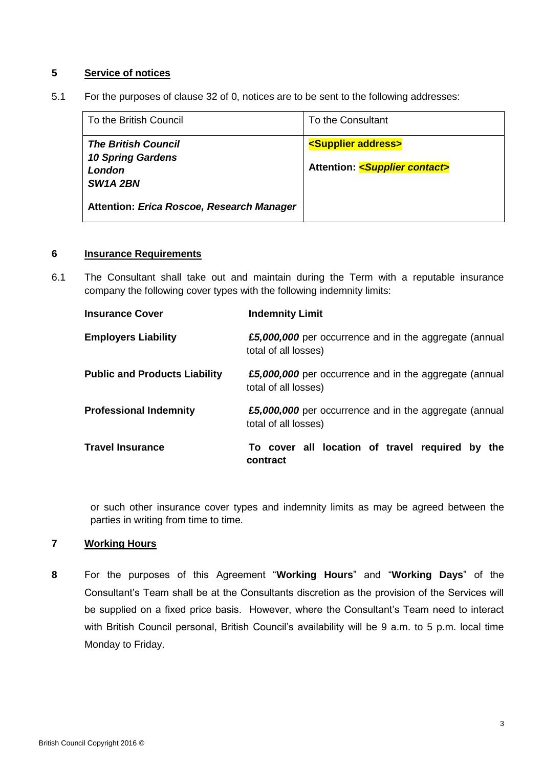## **5 Service of notices**

5.1 For the purposes of clause [32](#page-29-0) of [0,](#page-8-0) notices are to be sent to the following addresses:

| To the British Council                                                                    | To the Consultant                                                                |
|-------------------------------------------------------------------------------------------|----------------------------------------------------------------------------------|
| <b>The British Council</b><br><b>10 Spring Gardens</b><br>London<br>SW <sub>1</sub> A 2BN | <supplier address=""><br/>Attention: <supplier contact=""></supplier></supplier> |
| Attention: Erica Roscoe, Research Manager                                                 |                                                                                  |

#### **6 Insurance Requirements**

6.1 The Consultant shall take out and maintain during the Term with a reputable insurance company the following cover types with the following indemnity limits:

| <b>Insurance Cover</b>               | <b>Indemnity Limit</b>                                                         |
|--------------------------------------|--------------------------------------------------------------------------------|
| <b>Employers Liability</b>           | £5,000,000 per occurrence and in the aggregate (annual<br>total of all losses) |
| <b>Public and Products Liability</b> | £5,000,000 per occurrence and in the aggregate (annual<br>total of all losses) |
| <b>Professional Indemnity</b>        | £5,000,000 per occurrence and in the aggregate (annual<br>total of all losses) |
| <b>Travel Insurance</b>              | To cover all location of travel required by the<br>contract                    |

or such other insurance cover types and indemnity limits as may be agreed between the parties in writing from time to time.

# **7 Working Hours**

<span id="page-2-0"></span>**8** For the purposes of this Agreement "**Working Hours**" and "**Working Days**" of the Consultant's Team shall be at the Consultants discretion as the provision of the Services will be supplied on a fixed price basis. However, where the Consultant's Team need to interact with British Council personal, British Council's availability will be 9 a.m. to 5 p.m. local time Monday to Friday.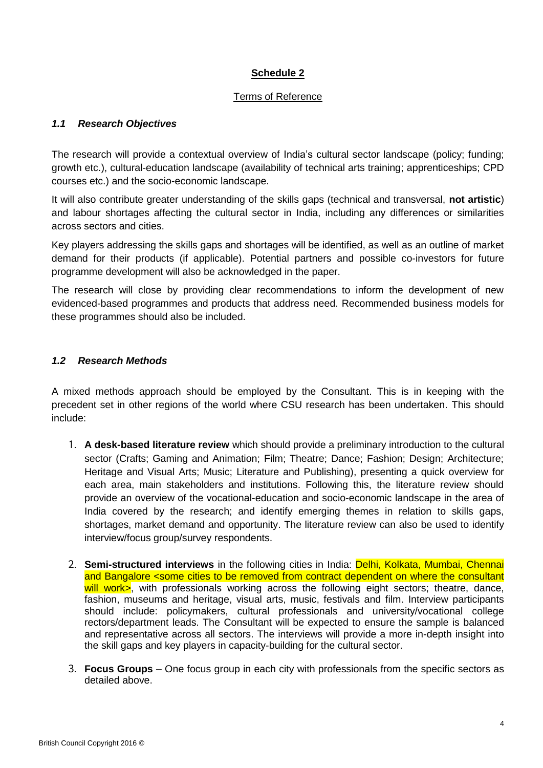# **Schedule 2**

## Terms of Reference

# <span id="page-3-0"></span>*1.1 Research Objectives*

The research will provide a contextual overview of India's cultural sector landscape (policy; funding; growth etc.), cultural-education landscape (availability of technical arts training; apprenticeships; CPD courses etc.) and the socio-economic landscape.

It will also contribute greater understanding of the skills gaps (technical and transversal, **not artistic**) and labour shortages affecting the cultural sector in India, including any differences or similarities across sectors and cities.

Key players addressing the skills gaps and shortages will be identified, as well as an outline of market demand for their products (if applicable). Potential partners and possible co-investors for future programme development will also be acknowledged in the paper.

The research will close by providing clear recommendations to inform the development of new evidenced-based programmes and products that address need. Recommended business models for these programmes should also be included.

# *1.2 Research Methods*

A mixed methods approach should be employed by the Consultant. This is in keeping with the precedent set in other regions of the world where CSU research has been undertaken. This should include:

- 1. **A desk-based literature review** which should provide a preliminary introduction to the cultural sector (Crafts; Gaming and Animation; Film; Theatre; Dance; Fashion; Design; Architecture; Heritage and Visual Arts; Music; Literature and Publishing), presenting a quick overview for each area, main stakeholders and institutions. Following this, the literature review should provide an overview of the vocational-education and socio-economic landscape in the area of India covered by the research; and identify emerging themes in relation to skills gaps, shortages, market demand and opportunity. The literature review can also be used to identify interview/focus group/survey respondents.
- 2. **Semi-structured interviews** in the following cities in India: Delhi, Kolkata, Mumbai, Chennai and Bangalore <some cities to be removed from contract dependent on where the consultant will work>, with professionals working across the following eight sectors; theatre, dance, fashion, museums and heritage, visual arts, music, festivals and film. Interview participants should include: policymakers, cultural professionals and university/vocational college rectors/department leads. The Consultant will be expected to ensure the sample is balanced and representative across all sectors. The interviews will provide a more in-depth insight into the skill gaps and key players in capacity-building for the cultural sector.
- 3. **Focus Groups** One focus group in each city with professionals from the specific sectors as detailed above.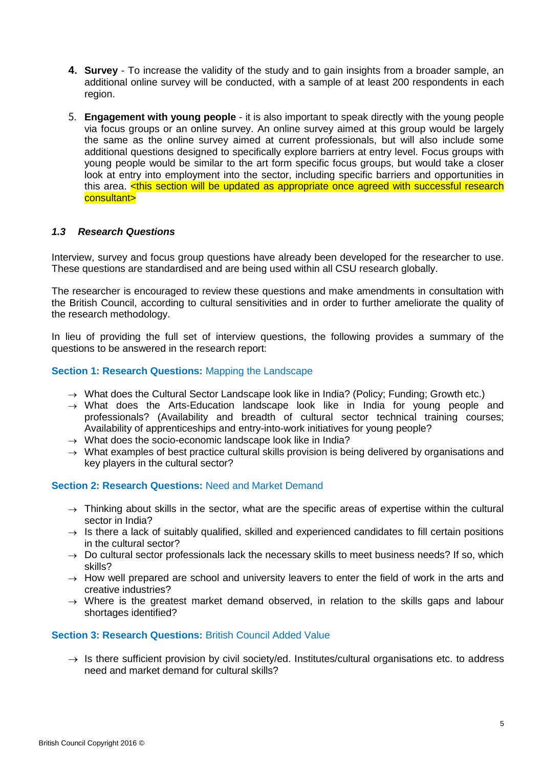- **4. Survey** To increase the validity of the study and to gain insights from a broader sample, an additional online survey will be conducted, with a sample of at least 200 respondents in each region.
- 5. **Engagement with young people** it is also important to speak directly with the young people via focus groups or an online survey. An online survey aimed at this group would be largely the same as the online survey aimed at current professionals, but will also include some additional questions designed to specifically explore barriers at entry level. Focus groups with young people would be similar to the art form specific focus groups, but would take a closer look at entry into employment into the sector, including specific barriers and opportunities in this area.  $\leq$ this section will be updated as appropriate once agreed with successful research consultant>

### *1.3 Research Questions*

Interview, survey and focus group questions have already been developed for the researcher to use. These questions are standardised and are being used within all CSU research globally.

The researcher is encouraged to review these questions and make amendments in consultation with the British Council, according to cultural sensitivities and in order to further ameliorate the quality of the research methodology.

In lieu of providing the full set of interview questions, the following provides a summary of the questions to be answered in the research report:

### **Section 1: Research Questions: Mapping the Landscape**

- $\rightarrow$  What does the Cultural Sector Landscape look like in India? (Policy: Funding: Growth etc.)
- $\rightarrow$  What does the Arts-Education landscape look like in India for young people and professionals? (Availability and breadth of cultural sector technical training courses; Availability of apprenticeships and entry-into-work initiatives for young people?
- $\rightarrow$  What does the socio-economic landscape look like in India?
- $\rightarrow$  What examples of best practice cultural skills provision is being delivered by organisations and key players in the cultural sector?

#### **Section 2: Research Questions:** Need and Market Demand

- $\rightarrow$  Thinking about skills in the sector, what are the specific areas of expertise within the cultural sector in India?
- $\rightarrow$  Is there a lack of suitably qualified, skilled and experienced candidates to fill certain positions in the cultural sector?
- $\rightarrow$  Do cultural sector professionals lack the necessary skills to meet business needs? If so, which skills?
- $\rightarrow$  How well prepared are school and university leavers to enter the field of work in the arts and creative industries?
- $\rightarrow$  Where is the greatest market demand observed, in relation to the skills gaps and labour shortages identified?

### **Section 3: Research Questions: British Council Added Value**

 $\rightarrow$  Is there sufficient provision by civil society/ed. Institutes/cultural organisations etc. to address need and market demand for cultural skills?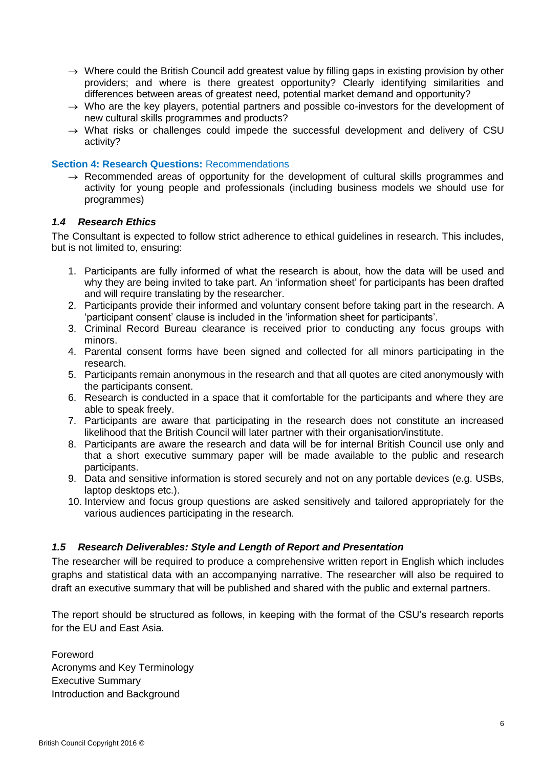- $\rightarrow$  Where could the British Council add greatest value by filling gaps in existing provision by other providers; and where is there greatest opportunity? Clearly identifying similarities and differences between areas of greatest need, potential market demand and opportunity?
- $\rightarrow$  Who are the key players, potential partners and possible co-investors for the development of new cultural skills programmes and products?
- $\rightarrow$  What risks or challenges could impede the successful development and delivery of CSU activity?

### **Section 4: Research Questions:** Recommendations

 $\rightarrow$  Recommended areas of opportunity for the development of cultural skills programmes and activity for young people and professionals (including business models we should use for programmes)

## *1.4 Research Ethics*

The Consultant is expected to follow strict adherence to ethical guidelines in research. This includes, but is not limited to, ensuring:

- 1. Participants are fully informed of what the research is about, how the data will be used and why they are being invited to take part. An 'information sheet' for participants has been drafted and will require translating by the researcher.
- 2. Participants provide their informed and voluntary consent before taking part in the research. A 'participant consent' clause is included in the 'information sheet for participants'.
- 3. Criminal Record Bureau clearance is received prior to conducting any focus groups with minors.
- 4. Parental consent forms have been signed and collected for all minors participating in the research.
- 5. Participants remain anonymous in the research and that all quotes are cited anonymously with the participants consent.
- 6. Research is conducted in a space that it comfortable for the participants and where they are able to speak freely.
- 7. Participants are aware that participating in the research does not constitute an increased likelihood that the British Council will later partner with their organisation/institute.
- 8. Participants are aware the research and data will be for internal British Council use only and that a short executive summary paper will be made available to the public and research participants.
- 9. Data and sensitive information is stored securely and not on any portable devices (e.g. USBs, laptop desktops etc.).
- 10. Interview and focus group questions are asked sensitively and tailored appropriately for the various audiences participating in the research.

## *1.5 Research Deliverables: Style and Length of Report and Presentation*

The researcher will be required to produce a comprehensive written report in English which includes graphs and statistical data with an accompanying narrative. The researcher will also be required to draft an executive summary that will be published and shared with the public and external partners.

The report should be structured as follows, in keeping with the format of the CSU's research reports for the EU and East Asia.

Foreword Acronyms and Key Terminology Executive Summary Introduction and Background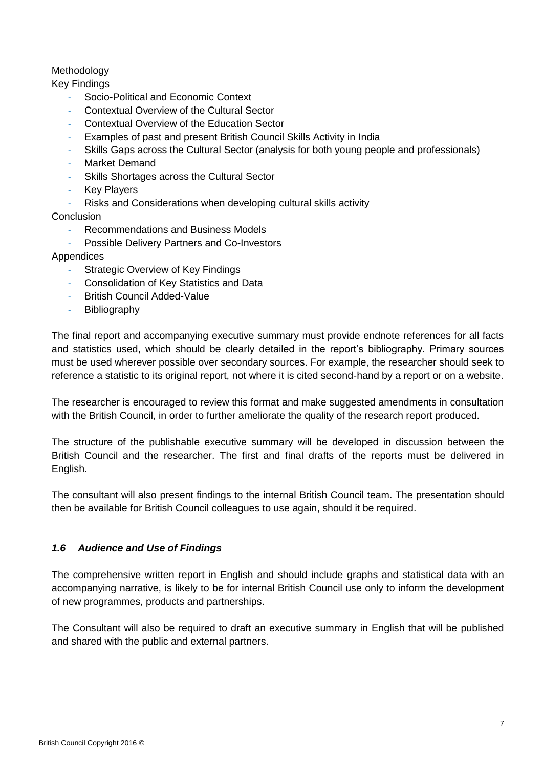# Methodology

Key Findings

- Socio-Political and Economic Context
- Contextual Overview of the Cultural Sector
- Contextual Overview of the Education Sector
- Examples of past and present British Council Skills Activity in India
- Skills Gaps across the Cultural Sector (analysis for both young people and professionals)
- Market Demand
- Skills Shortages across the Cultural Sector
- **Key Players**
- Risks and Considerations when developing cultural skills activity

Conclusion

- Recommendations and Business Models
- Possible Delivery Partners and Co-Investors

# Appendices

- **Strategic Overview of Key Findings**
- Consolidation of Key Statistics and Data
- British Council Added-Value
- Bibliography

The final report and accompanying executive summary must provide endnote references for all facts and statistics used, which should be clearly detailed in the report's bibliography. Primary sources must be used wherever possible over secondary sources. For example, the researcher should seek to reference a statistic to its original report, not where it is cited second-hand by a report or on a website.

The researcher is encouraged to review this format and make suggested amendments in consultation with the British Council, in order to further ameliorate the quality of the research report produced.

The structure of the publishable executive summary will be developed in discussion between the British Council and the researcher. The first and final drafts of the reports must be delivered in English.

The consultant will also present findings to the internal British Council team. The presentation should then be available for British Council colleagues to use again, should it be required.

# *1.6 Audience and Use of Findings*

The comprehensive written report in English and should include graphs and statistical data with an accompanying narrative, is likely to be for internal British Council use only to inform the development of new programmes, products and partnerships.

The Consultant will also be required to draft an executive summary in English that will be published and shared with the public and external partners.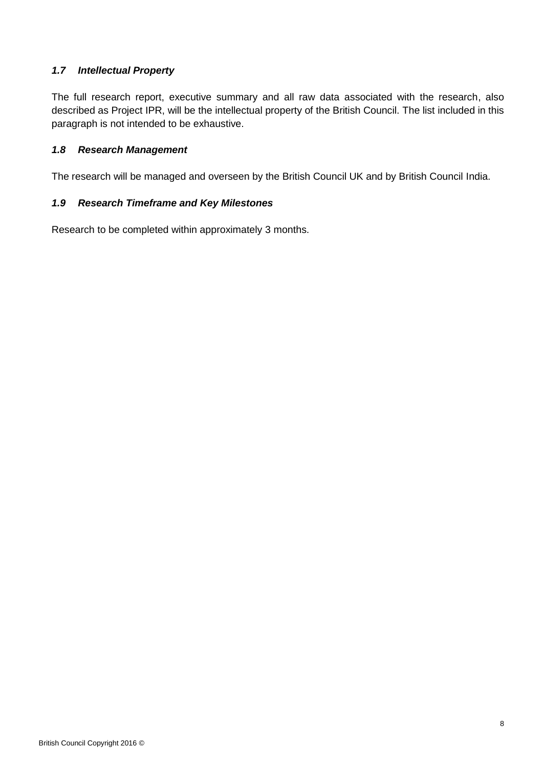# *1.7 Intellectual Property*

The full research report, executive summary and all raw data associated with the research, also described as Project IPR, will be the intellectual property of the British Council. The list included in this paragraph is not intended to be exhaustive.

## *1.8 Research Management*

The research will be managed and overseen by the British Council UK and by British Council India.

# *1.9 Research Timeframe and Key Milestones*

Research to be completed within approximately 3 months.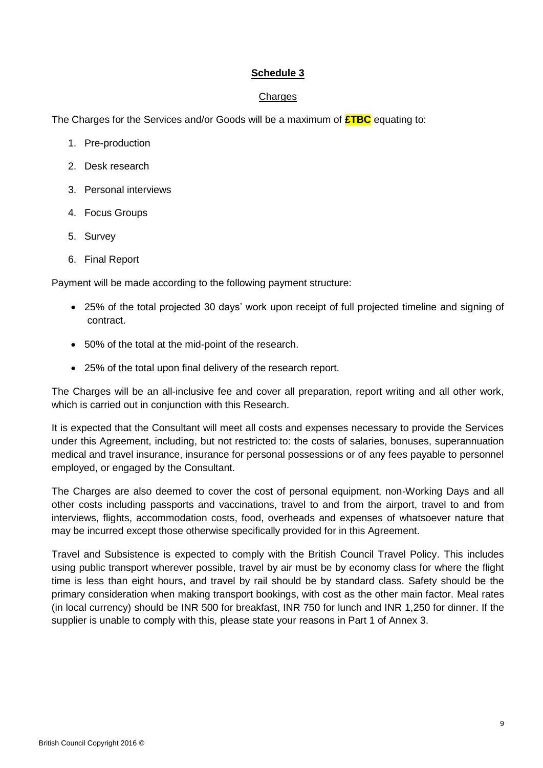# **Schedule 3**

## Charges

The Charges for the Services and/or Goods will be a maximum of **£TBC** equating to:

- 1. Pre-production
- 2. Desk research
- 3. Personal interviews
- 4. Focus Groups
- 5. Survey
- 6. Final Report

Payment will be made according to the following payment structure:

- 25% of the total projected 30 days' work upon receipt of full projected timeline and signing of contract.
- 50% of the total at the mid-point of the research.
- 25% of the total upon final delivery of the research report.

The Charges will be an all-inclusive fee and cover all preparation, report writing and all other work, which is carried out in conjunction with this Research.

It is expected that the Consultant will meet all costs and expenses necessary to provide the Services under this Agreement, including, but not restricted to: the costs of salaries, bonuses, superannuation medical and travel insurance, insurance for personal possessions or of any fees payable to personnel employed, or engaged by the Consultant.

The Charges are also deemed to cover the cost of personal equipment, non-Working Days and all other costs including passports and vaccinations, travel to and from the airport, travel to and from interviews, flights, accommodation costs, food, overheads and expenses of whatsoever nature that may be incurred except those otherwise specifically provided for in this Agreement.

<span id="page-8-0"></span>Travel and Subsistence is expected to comply with the British Council Travel Policy. This includes using public transport wherever possible, travel by air must be by economy class for where the flight time is less than eight hours, and travel by rail should be by standard class. Safety should be the primary consideration when making transport bookings, with cost as the other main factor. Meal rates (in local currency) should be INR 500 for breakfast, INR 750 for lunch and INR 1,250 for dinner. If the supplier is unable to comply with this, please state your reasons in Part 1 of Annex 3.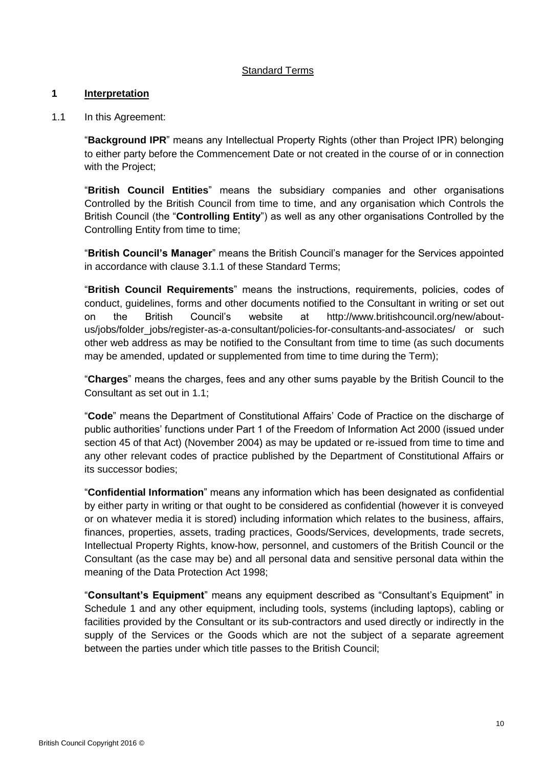# Standard Terms

## **1 Interpretation**

1.1 In this Agreement:

"**Background IPR**" means any Intellectual Property Rights (other than Project IPR) belonging to either party before the Commencement Date or not created in the course of or in connection with the Project;

"**British Council Entities**" means the subsidiary companies and other organisations Controlled by the British Council from time to time, and any organisation which Controls the British Council (the "**Controlling Entity**") as well as any other organisations Controlled by the Controlling Entity from time to time;

"**British Council's Manager**" means the British Council's manager for the Services appointed in accordance with clause [3.1.1](#page-14-0) of these Standard Terms;

"**British Council Requirements**" means the instructions, requirements, policies, codes of conduct, guidelines, forms and other documents notified to the Consultant in writing or set out on the British Council's website at [http://www.britishcouncil.org/new/about](http://www.britishcouncil.org/new/about-us/jobs/folder_jobs/register-as-a-consultant/policies-for-consultants-and-associates/)[us/jobs/folder\\_jobs/register-as-a-consultant/policies-for-consultants-and-associates/](http://www.britishcouncil.org/new/about-us/jobs/folder_jobs/register-as-a-consultant/policies-for-consultants-and-associates/) or such other web address as may be notified to the Consultant from time to time (as such documents may be amended, updated or supplemented from time to time during the Term);

"**Charges**" means the charges, fees and any other sums payable by the British Council to the Consultant as set out in [1.1;](#page-3-0)

"**Code**" means the Department of Constitutional Affairs' Code of Practice on the discharge of public authorities' functions under Part 1 of the Freedom of Information Act 2000 (issued under section 45 of that Act) (November 2004) as may be updated or re-issued from time to time and any other relevant codes of practice published by the Department of Constitutional Affairs or its successor bodies;

"**Confidential Information**" means any information which has been designated as confidential by either party in writing or that ought to be considered as confidential (however it is conveyed or on whatever media it is stored) including information which relates to the business, affairs, finances, properties, assets, trading practices, Goods/Services, developments, trade secrets, Intellectual Property Rights, know-how, personnel, and customers of the British Council or the Consultant (as the case may be) and all personal data and sensitive personal data within the meaning of the Data Protection Act 1998;

"**Consultant's Equipment**" means any equipment described as "Consultant's Equipment" in Schedule 1 and any other equipment, including tools, systems (including laptops), cabling or facilities provided by the Consultant or its sub-contractors and used directly or indirectly in the supply of the Services or the Goods which are not the subject of a separate agreement between the parties under which title passes to the British Council;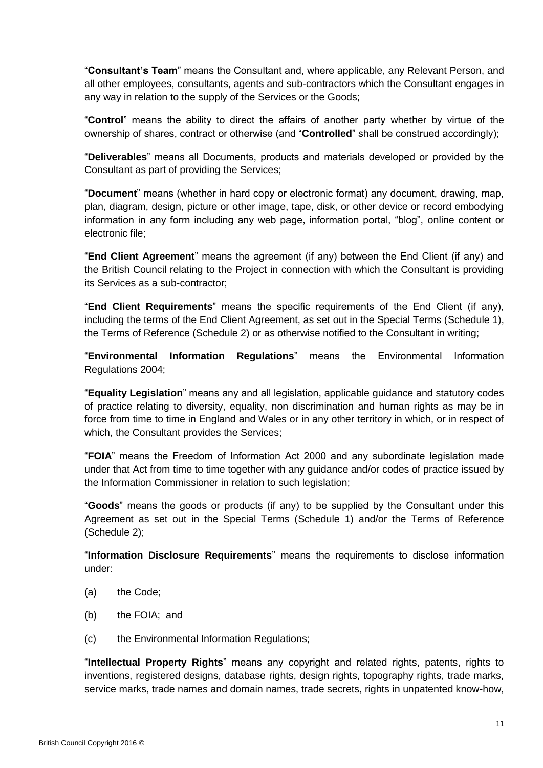"**Consultant's Team**" means the Consultant and, where applicable, any Relevant Person, and all other employees, consultants, agents and sub-contractors which the Consultant engages in any way in relation to the supply of the Services or the Goods;

"**Control**" means the ability to direct the affairs of another party whether by virtue of the ownership of shares, contract or otherwise (and "**Controlled**" shall be construed accordingly);

"**Deliverables**" means all Documents, products and materials developed or provided by the Consultant as part of providing the Services;

"**Document**" means (whether in hard copy or electronic format) any document, drawing, map, plan, diagram, design, picture or other image, tape, disk, or other device or record embodying information in any form including any web page, information portal, "blog", online content or electronic file;

"**End Client Agreement**" means the agreement (if any) between the End Client (if any) and the British Council relating to the Project in connection with which the Consultant is providing its Services as a sub-contractor;

"**End Client Requirements**" means the specific requirements of the End Client (if any), including the terms of the End Client Agreement, as set out in the Special Terms [\(Schedule 1\)](#page-1-0), the Terms of Reference [\(Schedule 2\)](#page-2-0) or as otherwise notified to the Consultant in writing;

"**Environmental Information Regulations**" means the Environmental Information Regulations 2004;

"**Equality Legislation**" means any and all legislation, applicable guidance and statutory codes of practice relating to diversity, equality, non discrimination and human rights as may be in force from time to time in England and Wales or in any other territory in which, or in respect of which, the Consultant provides the Services;

"**FOIA**" means the Freedom of Information Act 2000 and any subordinate legislation made under that Act from time to time together with any guidance and/or codes of practice issued by the Information Commissioner in relation to such legislation;

"**Goods**" means the goods or products (if any) to be supplied by the Consultant under this Agreement as set out in the Special Terms [\(Schedule 1\)](#page-1-0) and/or the Terms of Reference [\(Schedule 2\)](#page-2-0);

"**Information Disclosure Requirements**" means the requirements to disclose information under:

- (a) the Code;
- (b) the FOIA; and
- (c) the Environmental Information Regulations;

"**Intellectual Property Rights**" means any copyright and related rights, patents, rights to inventions, registered designs, database rights, design rights, topography rights, trade marks, service marks, trade names and domain names, trade secrets, rights in unpatented know-how,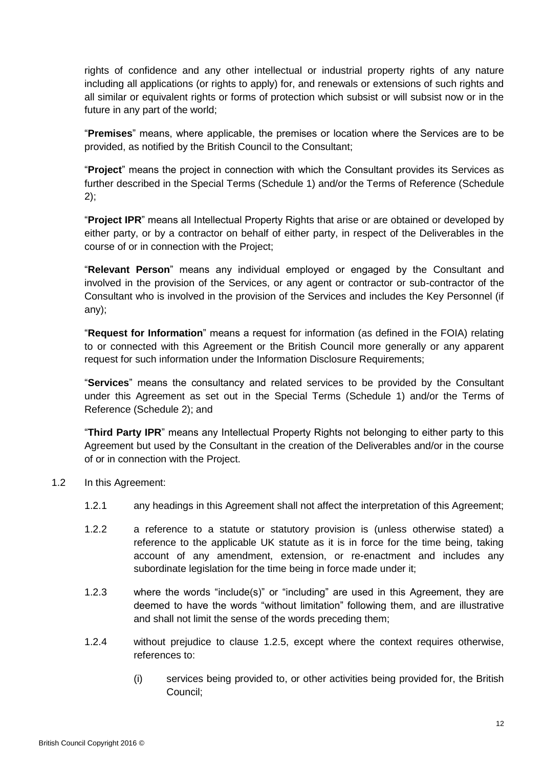rights of confidence and any other intellectual or industrial property rights of any nature including all applications (or rights to apply) for, and renewals or extensions of such rights and all similar or equivalent rights or forms of protection which subsist or will subsist now or in the future in any part of the world;

"**Premises**" means, where applicable, the premises or location where the Services are to be provided, as notified by the British Council to the Consultant;

"**Project**" means the project in connection with which the Consultant provides its Services as further described in the Special Terms [\(Schedule 1\)](#page-1-0) and/or the Terms of Reference [\(Schedule](#page-2-0)  [2\)](#page-2-0);

"**Project IPR**" means all Intellectual Property Rights that arise or are obtained or developed by either party, or by a contractor on behalf of either party, in respect of the Deliverables in the course of or in connection with the Project;

"**Relevant Person**" means any individual employed or engaged by the Consultant and involved in the provision of the Services, or any agent or contractor or sub-contractor of the Consultant who is involved in the provision of the Services and includes the Key Personnel (if any);

"**Request for Information**" means a request for information (as defined in the FOIA) relating to or connected with this Agreement or the British Council more generally or any apparent request for such information under the Information Disclosure Requirements;

"**Services**" means the consultancy and related services to be provided by the Consultant under this Agreement as set out in the Special Terms [\(Schedule 1\)](#page-1-0) and/or the Terms of Reference [\(Schedule 2\)](#page-2-0); and

"**Third Party IPR**" means any Intellectual Property Rights not belonging to either party to this Agreement but used by the Consultant in the creation of the Deliverables and/or in the course of or in connection with the Project.

- <span id="page-11-0"></span>1.2 In this Agreement:
	- 1.2.1 any headings in this Agreement shall not affect the interpretation of this Agreement;
	- 1.2.2 a reference to a statute or statutory provision is (unless otherwise stated) a reference to the applicable UK statute as it is in force for the time being, taking account of any amendment, extension, or re-enactment and includes any subordinate legislation for the time being in force made under it;
	- 1.2.3 where the words "include(s)" or "including" are used in this Agreement, they are deemed to have the words "without limitation" following them, and are illustrative and shall not limit the sense of the words preceding them;
	- 1.2.4 without prejudice to clause [1.2.5,](#page-12-0) except where the context requires otherwise, references to:
		- (i) services being provided to, or other activities being provided for, the British Council;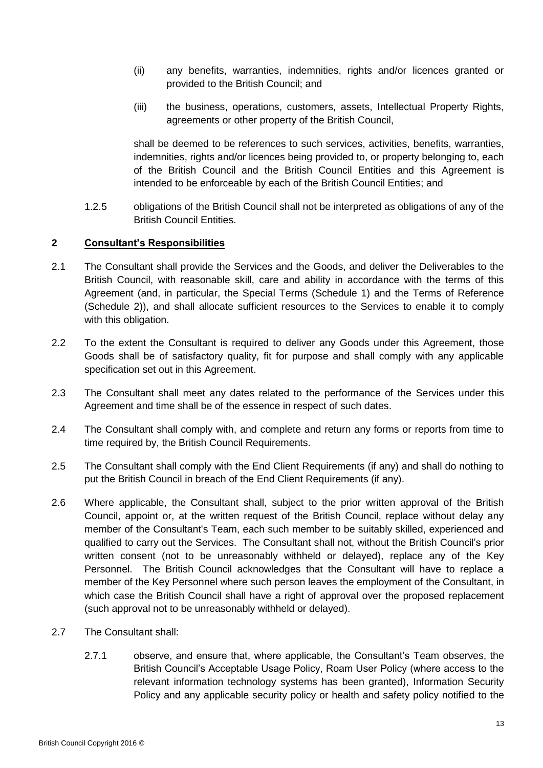- (ii) any benefits, warranties, indemnities, rights and/or licences granted or provided to the British Council; and
- (iii) the business, operations, customers, assets, Intellectual Property Rights, agreements or other property of the British Council,

shall be deemed to be references to such services, activities, benefits, warranties, indemnities, rights and/or licences being provided to, or property belonging to, each of the British Council and the British Council Entities and this Agreement is intended to be enforceable by each of the British Council Entities; and

<span id="page-12-0"></span>1.2.5 obligations of the British Council shall not be interpreted as obligations of any of the British Council Entities.

# **2 Consultant's Responsibilities**

- 2.1 The Consultant shall provide the Services and the Goods, and deliver the Deliverables to the British Council, with reasonable skill, care and ability in accordance with the terms of this Agreement (and, in particular, the Special Terms [\(Schedule 1\)](#page-1-0) and the Terms of Reference [\(Schedule 2\)](#page-2-0)), and shall allocate sufficient resources to the Services to enable it to comply with this obligation.
- 2.2 To the extent the Consultant is required to deliver any Goods under this Agreement, those Goods shall be of satisfactory quality, fit for purpose and shall comply with any applicable specification set out in this Agreement.
- 2.3 The Consultant shall meet any dates related to the performance of the Services under this Agreement and time shall be of the essence in respect of such dates.
- 2.4 The Consultant shall comply with, and complete and return any forms or reports from time to time required by, the British Council Requirements.
- 2.5 The Consultant shall comply with the End Client Requirements (if any) and shall do nothing to put the British Council in breach of the End Client Requirements (if any).
- 2.6 Where applicable, the Consultant shall, subject to the prior written approval of the British Council, appoint or, at the written request of the British Council, replace without delay any member of the Consultant's Team, each such member to be suitably skilled, experienced and qualified to carry out the Services. The Consultant shall not, without the British Council's prior written consent (not to be unreasonably withheld or delayed), replace any of the Key Personnel. The British Council acknowledges that the Consultant will have to replace a member of the Key Personnel where such person leaves the employment of the Consultant, in which case the British Council shall have a right of approval over the proposed replacement (such approval not to be unreasonably withheld or delayed).
- <span id="page-12-1"></span>2.7 The Consultant shall:
	- 2.7.1 observe, and ensure that, where applicable, the Consultant's Team observes, the British Council's Acceptable Usage Policy, Roam User Policy (where access to the relevant information technology systems has been granted), Information Security Policy and any applicable security policy or health and safety policy notified to the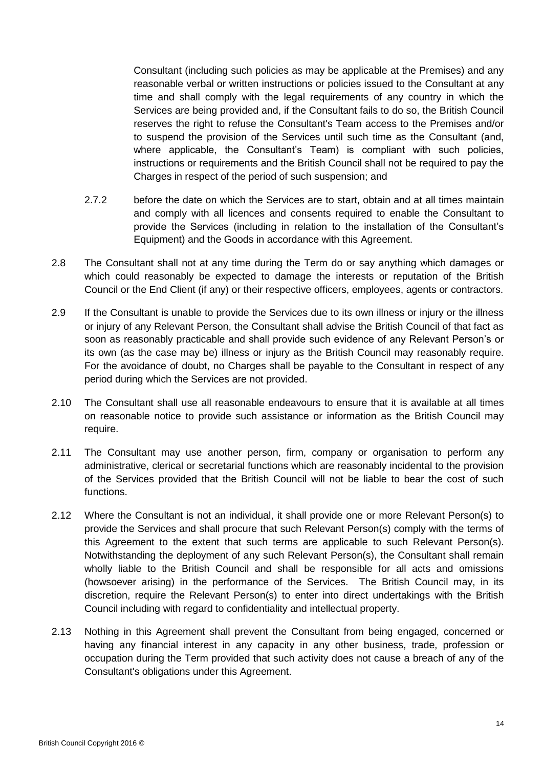Consultant (including such policies as may be applicable at the Premises) and any reasonable verbal or written instructions or policies issued to the Consultant at any time and shall comply with the legal requirements of any country in which the Services are being provided and, if the Consultant fails to do so, the British Council reserves the right to refuse the Consultant's Team access to the Premises and/or to suspend the provision of the Services until such time as the Consultant (and, where applicable, the Consultant's Team) is compliant with such policies, instructions or requirements and the British Council shall not be required to pay the Charges in respect of the period of such suspension; and

- 2.7.2 before the date on which the Services are to start, obtain and at all times maintain and comply with all licences and consents required to enable the Consultant to provide the Services (including in relation to the installation of the Consultant's Equipment) and the Goods in accordance with this Agreement.
- 2.8 The Consultant shall not at any time during the Term do or say anything which damages or which could reasonably be expected to damage the interests or reputation of the British Council or the End Client (if any) or their respective officers, employees, agents or contractors.
- 2.9 If the Consultant is unable to provide the Services due to its own illness or injury or the illness or injury of any Relevant Person, the Consultant shall advise the British Council of that fact as soon as reasonably practicable and shall provide such evidence of any Relevant Person's or its own (as the case may be) illness or injury as the British Council may reasonably require. For the avoidance of doubt, no Charges shall be payable to the Consultant in respect of any period during which the Services are not provided.
- 2.10 The Consultant shall use all reasonable endeavours to ensure that it is available at all times on reasonable notice to provide such assistance or information as the British Council may require.
- 2.11 The Consultant may use another person, firm, company or organisation to perform any administrative, clerical or secretarial functions which are reasonably incidental to the provision of the Services provided that the British Council will not be liable to bear the cost of such functions.
- 2.12 Where the Consultant is not an individual, it shall provide one or more Relevant Person(s) to provide the Services and shall procure that such Relevant Person(s) comply with the terms of this Agreement to the extent that such terms are applicable to such Relevant Person(s). Notwithstanding the deployment of any such Relevant Person(s), the Consultant shall remain wholly liable to the British Council and shall be responsible for all acts and omissions (howsoever arising) in the performance of the Services. The British Council may, in its discretion, require the Relevant Person(s) to enter into direct undertakings with the British Council including with regard to confidentiality and intellectual property.
- 2.13 Nothing in this Agreement shall prevent the Consultant from being engaged, concerned or having any financial interest in any capacity in any other business, trade, profession or occupation during the Term provided that such activity does not cause a breach of any of the Consultant's obligations under this Agreement.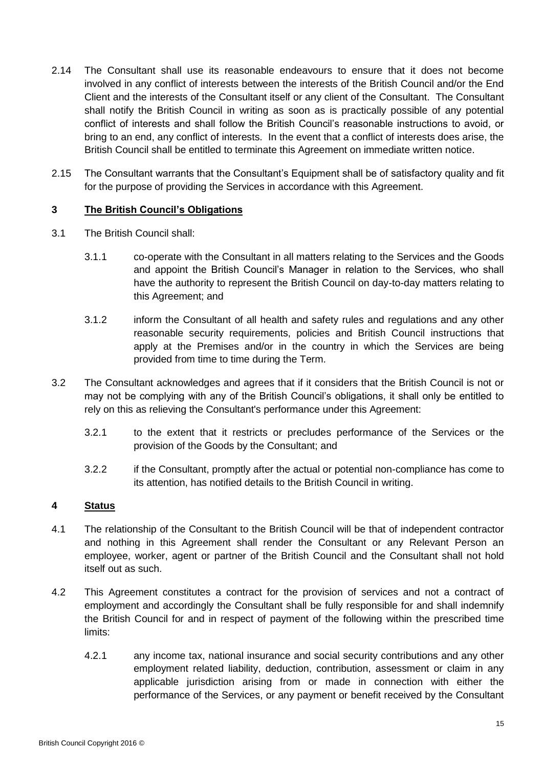- 2.14 The Consultant shall use its reasonable endeavours to ensure that it does not become involved in any conflict of interests between the interests of the British Council and/or the End Client and the interests of the Consultant itself or any client of the Consultant. The Consultant shall notify the British Council in writing as soon as is practically possible of any potential conflict of interests and shall follow the British Council's reasonable instructions to avoid, or bring to an end, any conflict of interests. In the event that a conflict of interests does arise, the British Council shall be entitled to terminate this Agreement on immediate written notice.
- 2.15 The Consultant warrants that the Consultant's Equipment shall be of satisfactory quality and fit for the purpose of providing the Services in accordance with this Agreement.

## **3 The British Council's Obligations**

- <span id="page-14-0"></span>3.1 The British Council shall:
	- 3.1.1 co-operate with the Consultant in all matters relating to the Services and the Goods and appoint the British Council's Manager in relation to the Services, who shall have the authority to represent the British Council on day-to-day matters relating to this Agreement; and
	- 3.1.2 inform the Consultant of all health and safety rules and regulations and any other reasonable security requirements, policies and British Council instructions that apply at the Premises and/or in the country in which the Services are being provided from time to time during the Term.
- 3.2 The Consultant acknowledges and agrees that if it considers that the British Council is not or may not be complying with any of the British Council's obligations, it shall only be entitled to rely on this as relieving the Consultant's performance under this Agreement:
	- 3.2.1 to the extent that it restricts or precludes performance of the Services or the provision of the Goods by the Consultant; and
	- 3.2.2 if the Consultant, promptly after the actual or potential non-compliance has come to its attention, has notified details to the British Council in writing.

# **4 Status**

- 4.1 The relationship of the Consultant to the British Council will be that of independent contractor and nothing in this Agreement shall render the Consultant or any Relevant Person an employee, worker, agent or partner of the British Council and the Consultant shall not hold itself out as such.
- <span id="page-14-1"></span>4.2 This Agreement constitutes a contract for the provision of services and not a contract of employment and accordingly the Consultant shall be fully responsible for and shall indemnify the British Council for and in respect of payment of the following within the prescribed time limits:
	- 4.2.1 any income tax, national insurance and social security contributions and any other employment related liability, deduction, contribution, assessment or claim in any applicable jurisdiction arising from or made in connection with either the performance of the Services, or any payment or benefit received by the Consultant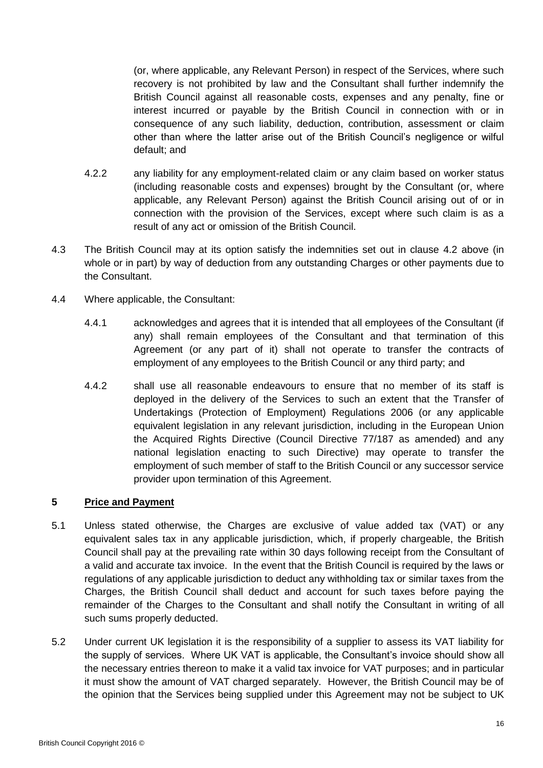(or, where applicable, any Relevant Person) in respect of the Services, where such recovery is not prohibited by law and the Consultant shall further indemnify the British Council against all reasonable costs, expenses and any penalty, fine or interest incurred or payable by the British Council in connection with or in consequence of any such liability, deduction, contribution, assessment or claim other than where the latter arise out of the British Council's negligence or wilful default; and

- 4.2.2 any liability for any employment-related claim or any claim based on worker status (including reasonable costs and expenses) brought by the Consultant (or, where applicable, any Relevant Person) against the British Council arising out of or in connection with the provision of the Services, except where such claim is as a result of any act or omission of the British Council.
- 4.3 The British Council may at its option satisfy the indemnities set out in clause [4.2](#page-14-1) above (in whole or in part) by way of deduction from any outstanding Charges or other payments due to the Consultant.
- 4.4 Where applicable, the Consultant:
	- 4.4.1 acknowledges and agrees that it is intended that all employees of the Consultant (if any) shall remain employees of the Consultant and that termination of this Agreement (or any part of it) shall not operate to transfer the contracts of employment of any employees to the British Council or any third party; and
	- 4.4.2 shall use all reasonable endeavours to ensure that no member of its staff is deployed in the delivery of the Services to such an extent that the Transfer of Undertakings (Protection of Employment) Regulations 2006 (or any applicable equivalent legislation in any relevant jurisdiction, including in the European Union the Acquired Rights Directive (Council Directive 77/187 as amended) and any national legislation enacting to such Directive) may operate to transfer the employment of such member of staff to the British Council or any successor service provider upon termination of this Agreement.

# **5 Price and Payment**

- 5.1 Unless stated otherwise, the Charges are exclusive of value added tax (VAT) or any equivalent sales tax in any applicable jurisdiction, which, if properly chargeable, the British Council shall pay at the prevailing rate within 30 days following receipt from the Consultant of a valid and accurate tax invoice. In the event that the British Council is required by the laws or regulations of any applicable jurisdiction to deduct any withholding tax or similar taxes from the Charges, the British Council shall deduct and account for such taxes before paying the remainder of the Charges to the Consultant and shall notify the Consultant in writing of all such sums properly deducted.
- 5.2 Under current UK legislation it is the responsibility of a supplier to assess its VAT liability for the supply of services. Where UK VAT is applicable, the Consultant's invoice should show all the necessary entries thereon to make it a valid tax invoice for VAT purposes; and in particular it must show the amount of VAT charged separately. However, the British Council may be of the opinion that the Services being supplied under this Agreement may not be subject to UK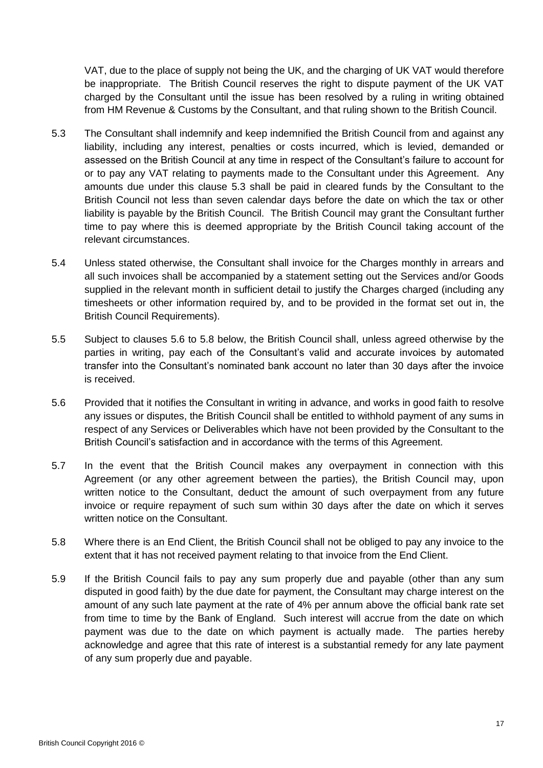VAT, due to the place of supply not being the UK, and the charging of UK VAT would therefore be inappropriate. The British Council reserves the right to dispute payment of the UK VAT charged by the Consultant until the issue has been resolved by a ruling in writing obtained from HM Revenue & Customs by the Consultant, and that ruling shown to the British Council.

- 5.3 The Consultant shall indemnify and keep indemnified the British Council from and against any liability, including any interest, penalties or costs incurred, which is levied, demanded or assessed on the British Council at any time in respect of the Consultant's failure to account for or to pay any VAT relating to payments made to the Consultant under this Agreement. Any amounts due under this clause 5.3 shall be paid in cleared funds by the Consultant to the British Council not less than seven calendar days before the date on which the tax or other liability is payable by the British Council. The British Council may grant the Consultant further time to pay where this is deemed appropriate by the British Council taking account of the relevant circumstances.
- 5.4 Unless stated otherwise, the Consultant shall invoice for the Charges monthly in arrears and all such invoices shall be accompanied by a statement setting out the Services and/or Goods supplied in the relevant month in sufficient detail to justify the Charges charged (including any timesheets or other information required by, and to be provided in the format set out in, the British Council Requirements).
- 5.5 Subject to clauses [5.6](#page-16-0) to [5.8](#page-16-1) below, the British Council shall, unless agreed otherwise by the parties in writing, pay each of the Consultant's valid and accurate invoices by automated transfer into the Consultant's nominated bank account no later than 30 days after the invoice is received.
- <span id="page-16-0"></span>5.6 Provided that it notifies the Consultant in writing in advance, and works in good faith to resolve any issues or disputes, the British Council shall be entitled to withhold payment of any sums in respect of any Services or Deliverables which have not been provided by the Consultant to the British Council's satisfaction and in accordance with the terms of this Agreement.
- 5.7 In the event that the British Council makes any overpayment in connection with this Agreement (or any other agreement between the parties), the British Council may, upon written notice to the Consultant, deduct the amount of such overpayment from any future invoice or require repayment of such sum within 30 days after the date on which it serves written notice on the Consultant.
- <span id="page-16-1"></span>5.8 Where there is an End Client, the British Council shall not be obliged to pay any invoice to the extent that it has not received payment relating to that invoice from the End Client.
- 5.9 If the British Council fails to pay any sum properly due and payable (other than any sum disputed in good faith) by the due date for payment, the Consultant may charge interest on the amount of any such late payment at the rate of 4% per annum above the official bank rate set from time to time by the Bank of England. Such interest will accrue from the date on which payment was due to the date on which payment is actually made. The parties hereby acknowledge and agree that this rate of interest is a substantial remedy for any late payment of any sum properly due and payable.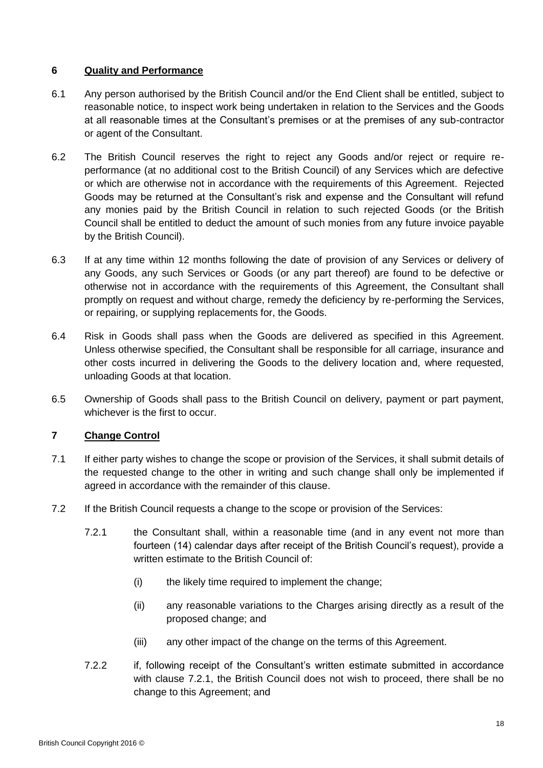## **6 Quality and Performance**

- 6.1 Any person authorised by the British Council and/or the End Client shall be entitled, subject to reasonable notice, to inspect work being undertaken in relation to the Services and the Goods at all reasonable times at the Consultant's premises or at the premises of any sub-contractor or agent of the Consultant.
- 6.2 The British Council reserves the right to reject any Goods and/or reject or require reperformance (at no additional cost to the British Council) of any Services which are defective or which are otherwise not in accordance with the requirements of this Agreement. Rejected Goods may be returned at the Consultant's risk and expense and the Consultant will refund any monies paid by the British Council in relation to such rejected Goods (or the British Council shall be entitled to deduct the amount of such monies from any future invoice payable by the British Council).
- 6.3 If at any time within 12 months following the date of provision of any Services or delivery of any Goods, any such Services or Goods (or any part thereof) are found to be defective or otherwise not in accordance with the requirements of this Agreement, the Consultant shall promptly on request and without charge, remedy the deficiency by re-performing the Services, or repairing, or supplying replacements for, the Goods.
- 6.4 Risk in Goods shall pass when the Goods are delivered as specified in this Agreement. Unless otherwise specified, the Consultant shall be responsible for all carriage, insurance and other costs incurred in delivering the Goods to the delivery location and, where requested, unloading Goods at that location.
- 6.5 Ownership of Goods shall pass to the British Council on delivery, payment or part payment, whichever is the first to occur.

# **7 Change Control**

- 7.1 If either party wishes to change the scope or provision of the Services, it shall submit details of the requested change to the other in writing and such change shall only be implemented if agreed in accordance with the remainder of this clause.
- <span id="page-17-0"></span>7.2 If the British Council requests a change to the scope or provision of the Services:
	- 7.2.1 the Consultant shall, within a reasonable time (and in any event not more than fourteen (14) calendar days after receipt of the British Council's request), provide a written estimate to the British Council of:
		- (i) the likely time required to implement the change;
		- (ii) any reasonable variations to the Charges arising directly as a result of the proposed change; and
		- (iii) any other impact of the change on the terms of this Agreement.
	- 7.2.2 if, following receipt of the Consultant's written estimate submitted in accordance with clause [7.2.1,](#page-17-0) the British Council does not wish to proceed, there shall be no change to this Agreement; and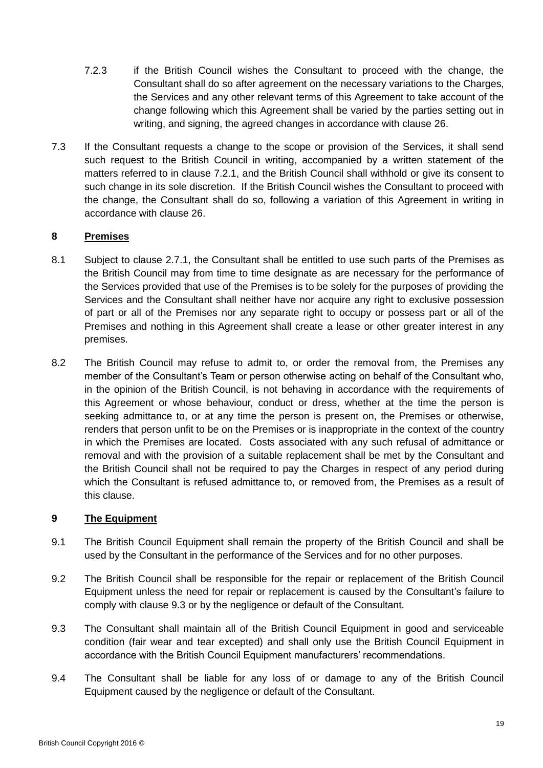- 7.2.3 if the British Council wishes the Consultant to proceed with the change, the Consultant shall do so after agreement on the necessary variations to the Charges, the Services and any other relevant terms of this Agreement to take account of the change following which this Agreement shall be varied by the parties setting out in writing, and signing, the agreed changes in accordance with clause [26.](#page-28-0)
- 7.3 If the Consultant requests a change to the scope or provision of the Services, it shall send such request to the British Council in writing, accompanied by a written statement of the matters referred to in clause [7.2.1,](#page-17-0) and the British Council shall withhold or give its consent to such change in its sole discretion. If the British Council wishes the Consultant to proceed with the change, the Consultant shall do so, following a variation of this Agreement in writing in accordance with clause [26.](#page-28-0)

# **8 Premises**

- 8.1 Subject to clause [2.7.1,](#page-12-1) the Consultant shall be entitled to use such parts of the Premises as the British Council may from time to time designate as are necessary for the performance of the Services provided that use of the Premises is to be solely for the purposes of providing the Services and the Consultant shall neither have nor acquire any right to exclusive possession of part or all of the Premises nor any separate right to occupy or possess part or all of the Premises and nothing in this Agreement shall create a lease or other greater interest in any premises.
- 8.2 The British Council may refuse to admit to, or order the removal from, the Premises any member of the Consultant's Team or person otherwise acting on behalf of the Consultant who, in the opinion of the British Council, is not behaving in accordance with the requirements of this Agreement or whose behaviour, conduct or dress, whether at the time the person is seeking admittance to, or at any time the person is present on, the Premises or otherwise, renders that person unfit to be on the Premises or is inappropriate in the context of the country in which the Premises are located. Costs associated with any such refusal of admittance or removal and with the provision of a suitable replacement shall be met by the Consultant and the British Council shall not be required to pay the Charges in respect of any period during which the Consultant is refused admittance to, or removed from, the Premises as a result of this clause.

# **9 The Equipment**

- 9.1 The British Council Equipment shall remain the property of the British Council and shall be used by the Consultant in the performance of the Services and for no other purposes.
- 9.2 The British Council shall be responsible for the repair or replacement of the British Council Equipment unless the need for repair or replacement is caused by the Consultant's failure to comply with clause [9.3](#page-18-0) or by the negligence or default of the Consultant.
- <span id="page-18-0"></span>9.3 The Consultant shall maintain all of the British Council Equipment in good and serviceable condition (fair wear and tear excepted) and shall only use the British Council Equipment in accordance with the British Council Equipment manufacturers' recommendations.
- 9.4 The Consultant shall be liable for any loss of or damage to any of the British Council Equipment caused by the negligence or default of the Consultant.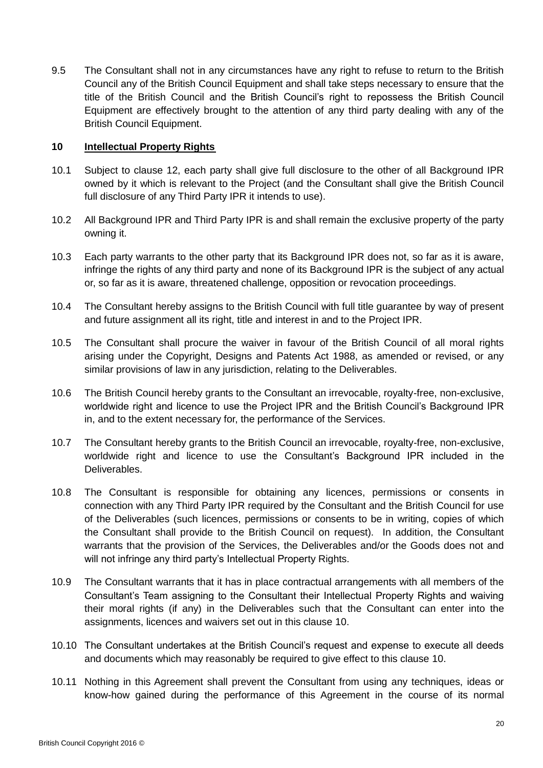9.5 The Consultant shall not in any circumstances have any right to refuse to return to the British Council any of the British Council Equipment and shall take steps necessary to ensure that the title of the British Council and the British Council's right to repossess the British Council Equipment are effectively brought to the attention of any third party dealing with any of the British Council Equipment.

### <span id="page-19-0"></span>**10 Intellectual Property Rights**

- 10.1 Subject to clause [12,](#page-20-0) each party shall give full disclosure to the other of all Background IPR owned by it which is relevant to the Project (and the Consultant shall give the British Council full disclosure of any Third Party IPR it intends to use).
- 10.2 All Background IPR and Third Party IPR is and shall remain the exclusive property of the party owning it.
- 10.3 Each party warrants to the other party that its Background IPR does not, so far as it is aware, infringe the rights of any third party and none of its Background IPR is the subject of any actual or, so far as it is aware, threatened challenge, opposition or revocation proceedings.
- <span id="page-19-1"></span>10.4 The Consultant hereby assigns to the British Council with full title guarantee by way of present and future assignment all its right, title and interest in and to the Project IPR.
- 10.5 The Consultant shall procure the waiver in favour of the British Council of all moral rights arising under the Copyright, Designs and Patents Act 1988, as amended or revised, or any similar provisions of law in any jurisdiction, relating to the Deliverables.
- 10.6 The British Council hereby grants to the Consultant an irrevocable, royalty-free, non-exclusive, worldwide right and licence to use the Project IPR and the British Council's Background IPR in, and to the extent necessary for, the performance of the Services.
- 10.7 The Consultant hereby grants to the British Council an irrevocable, royalty-free, non-exclusive, worldwide right and licence to use the Consultant's Background IPR included in the Deliverables.
- 10.8 The Consultant is responsible for obtaining any licences, permissions or consents in connection with any Third Party IPR required by the Consultant and the British Council for use of the Deliverables (such licences, permissions or consents to be in writing, copies of which the Consultant shall provide to the British Council on request). In addition, the Consultant warrants that the provision of the Services, the Deliverables and/or the Goods does not and will not infringe any third party's Intellectual Property Rights.
- 10.9 The Consultant warrants that it has in place contractual arrangements with all members of the Consultant's Team assigning to the Consultant their Intellectual Property Rights and waiving their moral rights (if any) in the Deliverables such that the Consultant can enter into the assignments, licences and waivers set out in this clause [10.](#page-19-0)
- 10.10 The Consultant undertakes at the British Council's request and expense to execute all deeds and documents which may reasonably be required to give effect to this clause [10.](#page-19-0)
- 10.11 Nothing in this Agreement shall prevent the Consultant from using any techniques, ideas or know-how gained during the performance of this Agreement in the course of its normal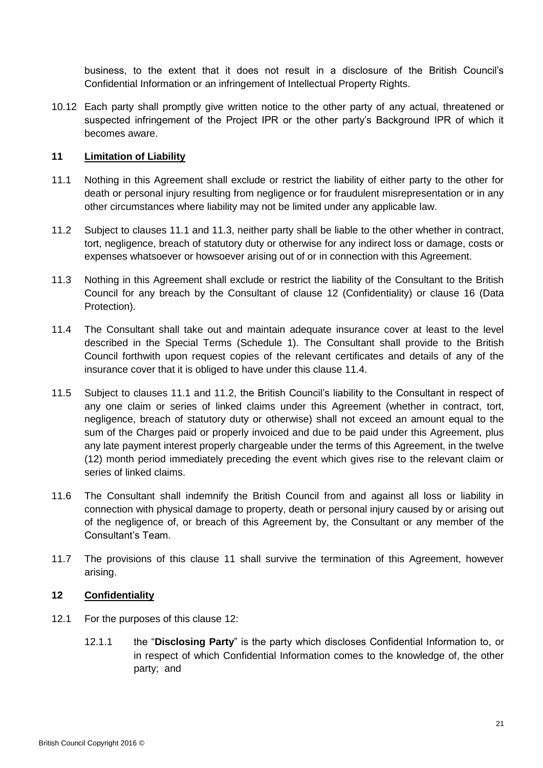business, to the extent that it does not result in a disclosure of the British Council's Confidential Information or an infringement of Intellectual Property Rights.

10.12 Each party shall promptly give written notice to the other party of any actual, threatened or suspected infringement of the Project IPR or the other party's Background IPR of which it becomes aware.

## <span id="page-20-5"></span>**11 Limitation of Liability**

- <span id="page-20-1"></span>11.1 Nothing in this Agreement shall exclude or restrict the liability of either party to the other for death or personal injury resulting from negligence or for fraudulent misrepresentation or in any other circumstances where liability may not be limited under any applicable law.
- <span id="page-20-4"></span>11.2 Subject to clauses [11.1](#page-20-1) and [11.3,](#page-20-2) neither party shall be liable to the other whether in contract, tort, negligence, breach of statutory duty or otherwise for any indirect loss or damage, costs or expenses whatsoever or howsoever arising out of or in connection with this Agreement.
- <span id="page-20-2"></span>11.3 Nothing in this Agreement shall exclude or restrict the liability of the Consultant to the British Council for any breach by the Consultant of clause [12](#page-20-0) (Confidentiality) or clause [16](#page-25-0) (Data Protection).
- <span id="page-20-3"></span>11.4 The Consultant shall take out and maintain adequate insurance cover at least to the level described in the Special Terms [\(Schedule 1\)](#page-1-0). The Consultant shall provide to the British Council forthwith upon request copies of the relevant certificates and details of any of the insurance cover that it is obliged to have under this clause [11.4.](#page-20-3)
- 11.5 Subject to clauses [11.1](#page-20-1) and [11.2,](#page-20-4) the British Council's liability to the Consultant in respect of any one claim or series of linked claims under this Agreement (whether in contract, tort, negligence, breach of statutory duty or otherwise) shall not exceed an amount equal to the sum of the Charges paid or properly invoiced and due to be paid under this Agreement, plus any late payment interest properly chargeable under the terms of this Agreement, in the twelve (12) month period immediately preceding the event which gives rise to the relevant claim or series of linked claims.
- 11.6 The Consultant shall indemnify the British Council from and against all loss or liability in connection with physical damage to property, death or personal injury caused by or arising out of the negligence of, or breach of this Agreement by, the Consultant or any member of the Consultant's Team.
- 11.7 The provisions of this clause [11](#page-20-5) shall survive the termination of this Agreement, however arising.

## <span id="page-20-0"></span>**12 Confidentiality**

- 12.1 For the purposes of this clause [12:](#page-20-0)
	- 12.1.1 the "**Disclosing Party**" is the party which discloses Confidential Information to, or in respect of which Confidential Information comes to the knowledge of, the other party; and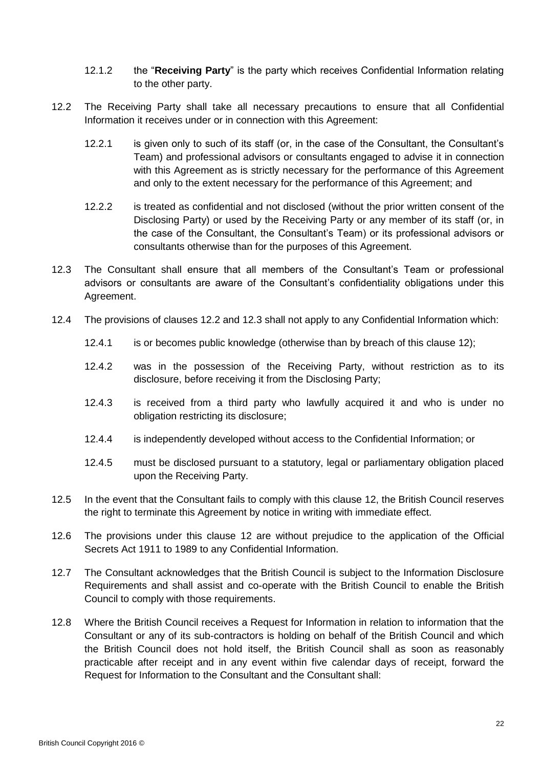- 12.1.2 the "**Receiving Party**" is the party which receives Confidential Information relating to the other party.
- <span id="page-21-0"></span>12.2 The Receiving Party shall take all necessary precautions to ensure that all Confidential Information it receives under or in connection with this Agreement:
	- 12.2.1 is given only to such of its staff (or, in the case of the Consultant, the Consultant's Team) and professional advisors or consultants engaged to advise it in connection with this Agreement as is strictly necessary for the performance of this Agreement and only to the extent necessary for the performance of this Agreement; and
	- 12.2.2 is treated as confidential and not disclosed (without the prior written consent of the Disclosing Party) or used by the Receiving Party or any member of its staff (or, in the case of the Consultant, the Consultant's Team) or its professional advisors or consultants otherwise than for the purposes of this Agreement.
- <span id="page-21-1"></span>12.3 The Consultant shall ensure that all members of the Consultant's Team or professional advisors or consultants are aware of the Consultant's confidentiality obligations under this Agreement.
- 12.4 The provisions of clauses [12.2](#page-21-0) and [12.3](#page-21-1) shall not apply to any Confidential Information which:
	- 12.4.1 is or becomes public knowledge (otherwise than by breach of this clause [12\)](#page-20-0);
	- 12.4.2 was in the possession of the Receiving Party, without restriction as to its disclosure, before receiving it from the Disclosing Party;
	- 12.4.3 is received from a third party who lawfully acquired it and who is under no obligation restricting its disclosure;
	- 12.4.4 is independently developed without access to the Confidential Information; or
	- 12.4.5 must be disclosed pursuant to a statutory, legal or parliamentary obligation placed upon the Receiving Party.
- 12.5 In the event that the Consultant fails to comply with this clause [12,](#page-20-0) the British Council reserves the right to terminate this Agreement by notice in writing with immediate effect.
- 12.6 The provisions under this clause [12](#page-20-0) are without prejudice to the application of the Official Secrets Act 1911 to 1989 to any Confidential Information.
- 12.7 The Consultant acknowledges that the British Council is subject to the Information Disclosure Requirements and shall assist and co-operate with the British Council to enable the British Council to comply with those requirements.
- 12.8 Where the British Council receives a Request for Information in relation to information that the Consultant or any of its sub-contractors is holding on behalf of the British Council and which the British Council does not hold itself, the British Council shall as soon as reasonably practicable after receipt and in any event within five calendar days of receipt, forward the Request for Information to the Consultant and the Consultant shall: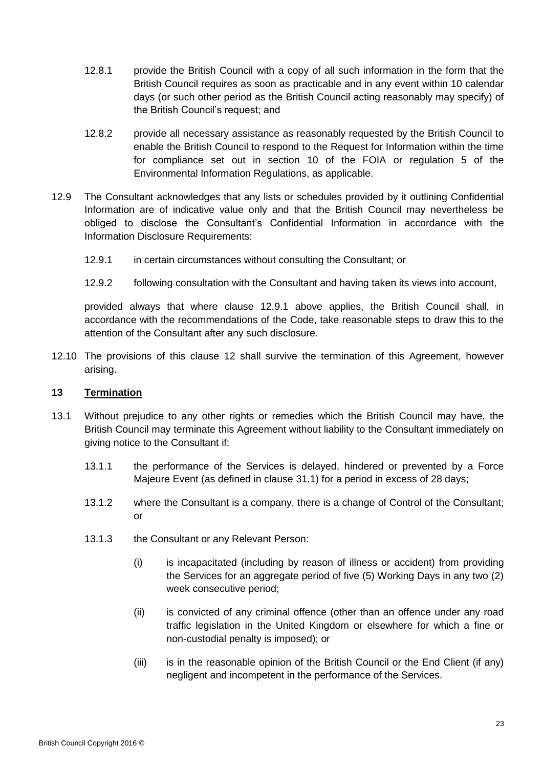- 12.8.1 provide the British Council with a copy of all such information in the form that the British Council requires as soon as practicable and in any event within 10 calendar days (or such other period as the British Council acting reasonably may specify) of the British Council's request; and
- 12.8.2 provide all necessary assistance as reasonably requested by the British Council to enable the British Council to respond to the Request for Information within the time for compliance set out in section 10 of the FOIA or regulation 5 of the Environmental Information Regulations, as applicable.
- <span id="page-22-0"></span>12.9 The Consultant acknowledges that any lists or schedules provided by it outlining Confidential Information are of indicative value only and that the British Council may nevertheless be obliged to disclose the Consultant's Confidential Information in accordance with the Information Disclosure Requirements:
	- 12.9.1 in certain circumstances without consulting the Consultant; or
	- 12.9.2 following consultation with the Consultant and having taken its views into account,

provided always that where clause [12.9.1](#page-22-0) above applies, the British Council shall, in accordance with the recommendations of the Code, take reasonable steps to draw this to the attention of the Consultant after any such disclosure.

12.10 The provisions of this clause [12](#page-20-0) shall survive the termination of this Agreement, however arising.

#### **13 Termination**

- 13.1 Without prejudice to any other rights or remedies which the British Council may have, the British Council may terminate this Agreement without liability to the Consultant immediately on giving notice to the Consultant if:
	- 13.1.1 the performance of the Services is delayed, hindered or prevented by a Force Majeure Event (as defined in clause [31.1\)](#page-28-1) for a period in excess of 28 days;
	- 13.1.2 where the Consultant is a company, there is a change of Control of the Consultant; or
	- 13.1.3 the Consultant or any Relevant Person:
		- (i) is incapacitated (including by reason of illness or accident) from providing the Services for an aggregate period of five (5) Working Days in any two (2) week consecutive period;
		- (ii) is convicted of any criminal offence (other than an offence under any road traffic legislation in the United Kingdom or elsewhere for which a fine or non-custodial penalty is imposed); or
		- (iii) is in the reasonable opinion of the British Council or the End Client (if any) negligent and incompetent in the performance of the Services.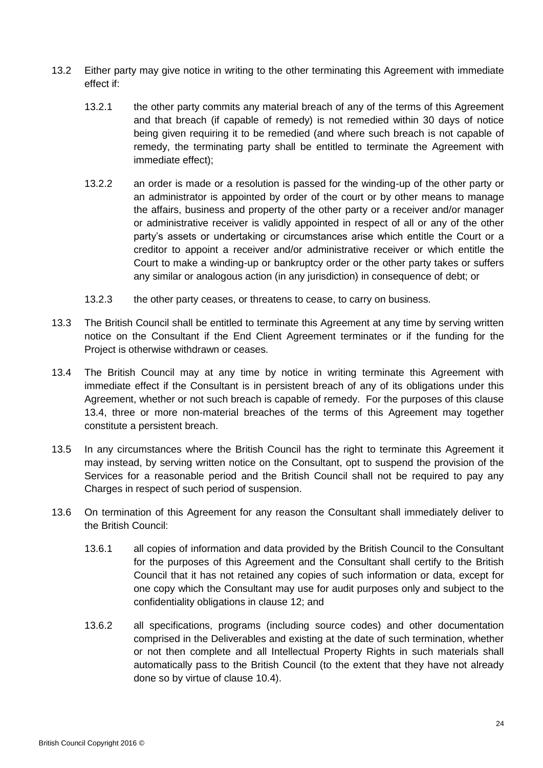- <span id="page-23-2"></span>13.2 Either party may give notice in writing to the other terminating this Agreement with immediate effect if:
	- 13.2.1 the other party commits any material breach of any of the terms of this Agreement and that breach (if capable of remedy) is not remedied within 30 days of notice being given requiring it to be remedied (and where such breach is not capable of remedy, the terminating party shall be entitled to terminate the Agreement with immediate effect);
	- 13.2.2 an order is made or a resolution is passed for the winding-up of the other party or an administrator is appointed by order of the court or by other means to manage the affairs, business and property of the other party or a receiver and/or manager or administrative receiver is validly appointed in respect of all or any of the other party's assets or undertaking or circumstances arise which entitle the Court or a creditor to appoint a receiver and/or administrative receiver or which entitle the Court to make a winding-up or bankruptcy order or the other party takes or suffers any similar or analogous action (in any jurisdiction) in consequence of debt; or
	- 13.2.3 the other party ceases, or threatens to cease, to carry on business.
- 13.3 The British Council shall be entitled to terminate this Agreement at any time by serving written notice on the Consultant if the End Client Agreement terminates or if the funding for the Project is otherwise withdrawn or ceases.
- <span id="page-23-0"></span>13.4 The British Council may at any time by notice in writing terminate this Agreement with immediate effect if the Consultant is in persistent breach of any of its obligations under this Agreement, whether or not such breach is capable of remedy. For the purposes of this clause [13.4,](#page-23-0) three or more non-material breaches of the terms of this Agreement may together constitute a persistent breach.
- 13.5 In any circumstances where the British Council has the right to terminate this Agreement it may instead, by serving written notice on the Consultant, opt to suspend the provision of the Services for a reasonable period and the British Council shall not be required to pay any Charges in respect of such period of suspension.
- <span id="page-23-1"></span>13.6 On termination of this Agreement for any reason the Consultant shall immediately deliver to the British Council:
	- 13.6.1 all copies of information and data provided by the British Council to the Consultant for the purposes of this Agreement and the Consultant shall certify to the British Council that it has not retained any copies of such information or data, except for one copy which the Consultant may use for audit purposes only and subject to the confidentiality obligations in clause [12;](#page-20-0) and
	- 13.6.2 all specifications, programs (including source codes) and other documentation comprised in the Deliverables and existing at the date of such termination, whether or not then complete and all Intellectual Property Rights in such materials shall automatically pass to the British Council (to the extent that they have not already done so by virtue of clause [10.4\)](#page-19-1).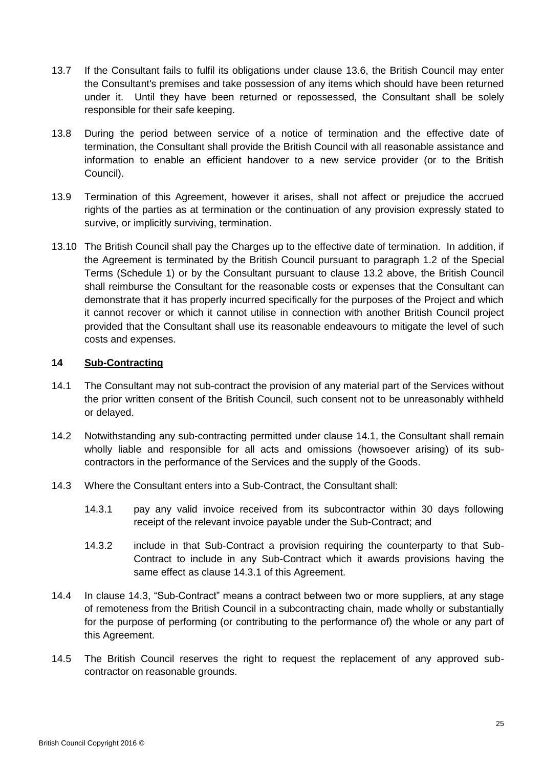- 13.7 If the Consultant fails to fulfil its obligations under clause [13.6,](#page-23-1) the British Council may enter the Consultant's premises and take possession of any items which should have been returned under it. Until they have been returned or repossessed, the Consultant shall be solely responsible for their safe keeping.
- 13.8 During the period between service of a notice of termination and the effective date of termination, the Consultant shall provide the British Council with all reasonable assistance and information to enable an efficient handover to a new service provider (or to the British Council).
- 13.9 Termination of this Agreement, however it arises, shall not affect or prejudice the accrued rights of the parties as at termination or the continuation of any provision expressly stated to survive, or implicitly surviving, termination.
- 13.10 The British Council shall pay the Charges up to the effective date of termination. In addition, if the Agreement is terminated by the British Council pursuant to paragraph 1.2 of the Special Terms [\(Schedule 1\)](#page-1-0) or by the Consultant pursuant to clause [13.2](#page-23-2) above, the British Council shall reimburse the Consultant for the reasonable costs or expenses that the Consultant can demonstrate that it has properly incurred specifically for the purposes of the Project and which it cannot recover or which it cannot utilise in connection with another British Council project provided that the Consultant shall use its reasonable endeavours to mitigate the level of such costs and expenses.

### **14 Sub-Contracting**

- <span id="page-24-0"></span>14.1 The Consultant may not sub-contract the provision of any material part of the Services without the prior written consent of the British Council, such consent not to be unreasonably withheld or delayed.
- 14.2 Notwithstanding any sub-contracting permitted under clause [14.1,](#page-24-0) the Consultant shall remain wholly liable and responsible for all acts and omissions (howsoever arising) of its subcontractors in the performance of the Services and the supply of the Goods.
- 14.3 Where the Consultant enters into a Sub-Contract, the Consultant shall:
	- 14.3.1 pay any valid invoice received from its subcontractor within 30 days following receipt of the relevant invoice payable under the Sub-Contract; and
	- 14.3.2 include in that Sub-Contract a provision requiring the counterparty to that Sub-Contract to include in any Sub-Contract which it awards provisions having the same effect as clause 14.3.1 of this Agreement.
- 14.4 In clause 14.3, "Sub-Contract" means a contract between two or more suppliers, at any stage of remoteness from the British Council in a subcontracting chain, made wholly or substantially for the purpose of performing (or contributing to the performance of) the whole or any part of this Agreement.
- 14.5 The British Council reserves the right to request the replacement of any approved subcontractor on reasonable grounds.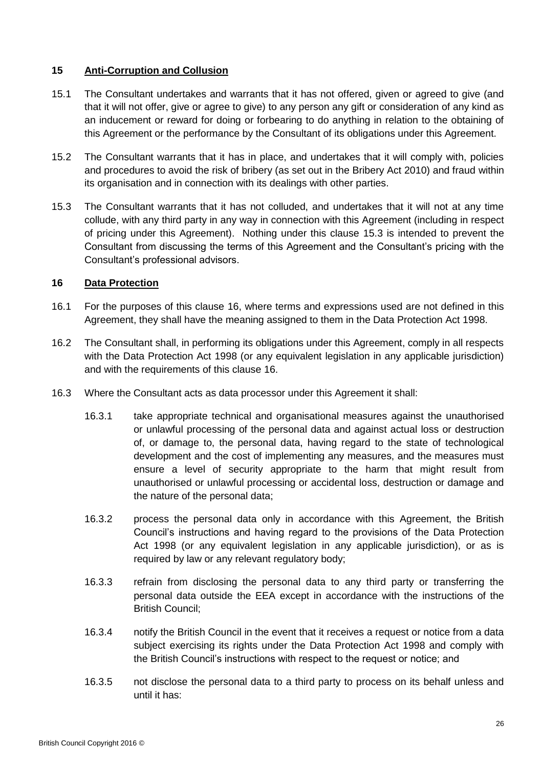## **15 Anti-Corruption and Collusion**

- 15.1 The Consultant undertakes and warrants that it has not offered, given or agreed to give (and that it will not offer, give or agree to give) to any person any gift or consideration of any kind as an inducement or reward for doing or forbearing to do anything in relation to the obtaining of this Agreement or the performance by the Consultant of its obligations under this Agreement.
- 15.2 The Consultant warrants that it has in place, and undertakes that it will comply with, policies and procedures to avoid the risk of bribery (as set out in the Bribery Act 2010) and fraud within its organisation and in connection with its dealings with other parties.
- <span id="page-25-1"></span>15.3 The Consultant warrants that it has not colluded, and undertakes that it will not at any time collude, with any third party in any way in connection with this Agreement (including in respect of pricing under this Agreement). Nothing under this clause [15.3](#page-25-1) is intended to prevent the Consultant from discussing the terms of this Agreement and the Consultant's pricing with the Consultant's professional advisors.

## <span id="page-25-0"></span>**16 Data Protection**

- 16.1 For the purposes of this clause [16,](#page-25-0) where terms and expressions used are not defined in this Agreement, they shall have the meaning assigned to them in the Data Protection Act 1998.
- 16.2 The Consultant shall, in performing its obligations under this Agreement, comply in all respects with the Data Protection Act 1998 (or any equivalent legislation in any applicable jurisdiction) and with the requirements of this clause [16.](#page-25-0)
- 16.3 Where the Consultant acts as data processor under this Agreement it shall:
	- 16.3.1 take appropriate technical and organisational measures against the unauthorised or unlawful processing of the personal data and against actual loss or destruction of, or damage to, the personal data, having regard to the state of technological development and the cost of implementing any measures, and the measures must ensure a level of security appropriate to the harm that might result from unauthorised or unlawful processing or accidental loss, destruction or damage and the nature of the personal data;
	- 16.3.2 process the personal data only in accordance with this Agreement, the British Council's instructions and having regard to the provisions of the Data Protection Act 1998 (or any equivalent legislation in any applicable jurisdiction), or as is required by law or any relevant regulatory body;
	- 16.3.3 refrain from disclosing the personal data to any third party or transferring the personal data outside the EEA except in accordance with the instructions of the British Council;
	- 16.3.4 notify the British Council in the event that it receives a request or notice from a data subject exercising its rights under the Data Protection Act 1998 and comply with the British Council's instructions with respect to the request or notice; and
	- 16.3.5 not disclose the personal data to a third party to process on its behalf unless and until it has: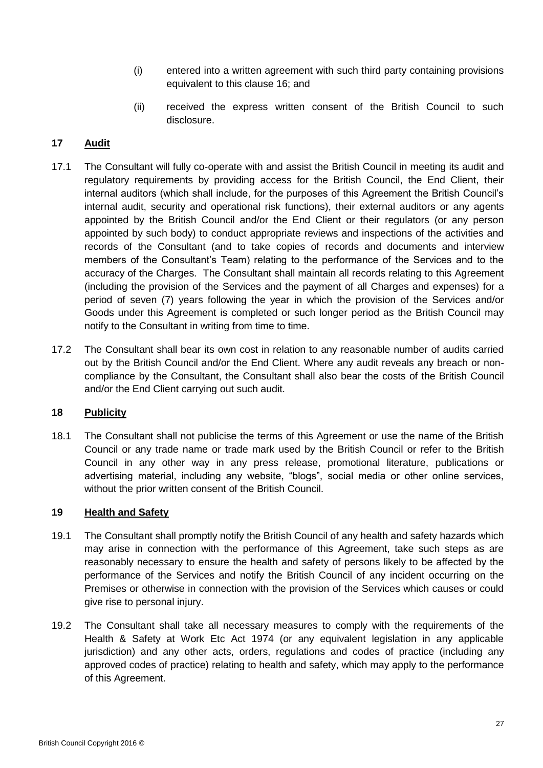- (i) entered into a written agreement with such third party containing provisions equivalent to this clause [16;](#page-25-0) and
- (ii) received the express written consent of the British Council to such disclosure.

# **17 Audit**

- 17.1 The Consultant will fully co-operate with and assist the British Council in meeting its audit and regulatory requirements by providing access for the British Council, the End Client, their internal auditors (which shall include, for the purposes of this Agreement the British Council's internal audit, security and operational risk functions), their external auditors or any agents appointed by the British Council and/or the End Client or their regulators (or any person appointed by such body) to conduct appropriate reviews and inspections of the activities and records of the Consultant (and to take copies of records and documents and interview members of the Consultant's Team) relating to the performance of the Services and to the accuracy of the Charges. The Consultant shall maintain all records relating to this Agreement (including the provision of the Services and the payment of all Charges and expenses) for a period of seven (7) years following the year in which the provision of the Services and/or Goods under this Agreement is completed or such longer period as the British Council may notify to the Consultant in writing from time to time.
- 17.2 The Consultant shall bear its own cost in relation to any reasonable number of audits carried out by the British Council and/or the End Client. Where any audit reveals any breach or noncompliance by the Consultant, the Consultant shall also bear the costs of the British Council and/or the End Client carrying out such audit.

# **18 Publicity**

18.1 The Consultant shall not publicise the terms of this Agreement or use the name of the British Council or any trade name or trade mark used by the British Council or refer to the British Council in any other way in any press release, promotional literature, publications or advertising material, including any website, "blogs", social media or other online services, without the prior written consent of the British Council.

## **19 Health and Safety**

- 19.1 The Consultant shall promptly notify the British Council of any health and safety hazards which may arise in connection with the performance of this Agreement, take such steps as are reasonably necessary to ensure the health and safety of persons likely to be affected by the performance of the Services and notify the British Council of any incident occurring on the Premises or otherwise in connection with the provision of the Services which causes or could give rise to personal injury.
- 19.2 The Consultant shall take all necessary measures to comply with the requirements of the Health & Safety at Work Etc Act 1974 (or any equivalent legislation in any applicable jurisdiction) and any other acts, orders, regulations and codes of practice (including any approved codes of practice) relating to health and safety, which may apply to the performance of this Agreement.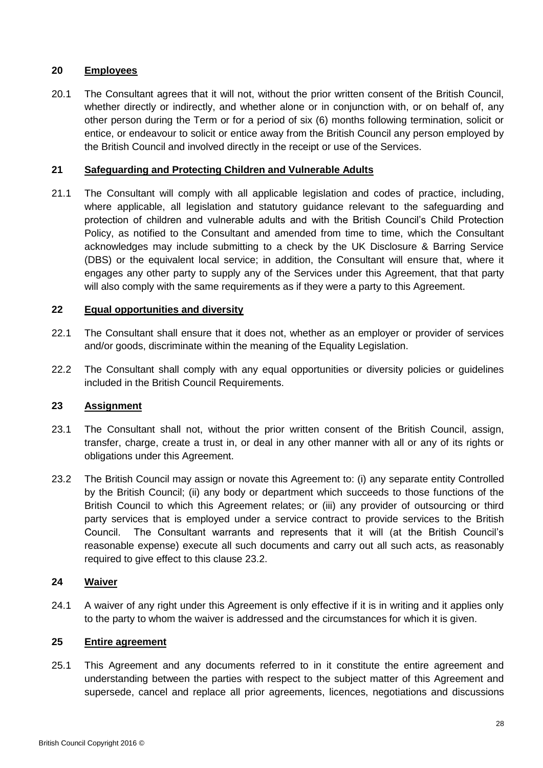# **20 Employees**

20.1 The Consultant agrees that it will not, without the prior written consent of the British Council, whether directly or indirectly, and whether alone or in conjunction with, or on behalf of, any other person during the Term or for a period of six (6) months following termination, solicit or entice, or endeavour to solicit or entice away from the British Council any person employed by the British Council and involved directly in the receipt or use of the Services.

## **21 Safeguarding and Protecting Children and Vulnerable Adults**

21.1 The Consultant will comply with all applicable legislation and codes of practice, including, where applicable, all legislation and statutory guidance relevant to the safeguarding and protection of children and vulnerable adults and with the British Council's Child Protection Policy, as notified to the Consultant and amended from time to time, which the Consultant acknowledges may include submitting to a check by the UK Disclosure & Barring Service (DBS) or the equivalent local service; in addition, the Consultant will ensure that, where it engages any other party to supply any of the Services under this Agreement, that that party will also comply with the same requirements as if they were a party to this Agreement.

## **22 Equal opportunities and diversity**

- 22.1 The Consultant shall ensure that it does not, whether as an employer or provider of services and/or goods, discriminate within the meaning of the Equality Legislation.
- 22.2 The Consultant shall comply with any equal opportunities or diversity policies or guidelines included in the British Council Requirements.

# <span id="page-27-1"></span>**23 Assignment**

- 23.1 The Consultant shall not, without the prior written consent of the British Council, assign, transfer, charge, create a trust in, or deal in any other manner with all or any of its rights or obligations under this Agreement.
- <span id="page-27-0"></span>23.2 The British Council may assign or novate this Agreement to: (i) any separate entity Controlled by the British Council; (ii) any body or department which succeeds to those functions of the British Council to which this Agreement relates; or (iii) any provider of outsourcing or third party services that is employed under a service contract to provide services to the British Council. The Consultant warrants and represents that it will (at the British Council's reasonable expense) execute all such documents and carry out all such acts, as reasonably required to give effect to this clause [23.2.](#page-27-0)

#### **24 Waiver**

24.1 A waiver of any right under this Agreement is only effective if it is in writing and it applies only to the party to whom the waiver is addressed and the circumstances for which it is given.

# **25 Entire agreement**

25.1 This Agreement and any documents referred to in it constitute the entire agreement and understanding between the parties with respect to the subject matter of this Agreement and supersede, cancel and replace all prior agreements, licences, negotiations and discussions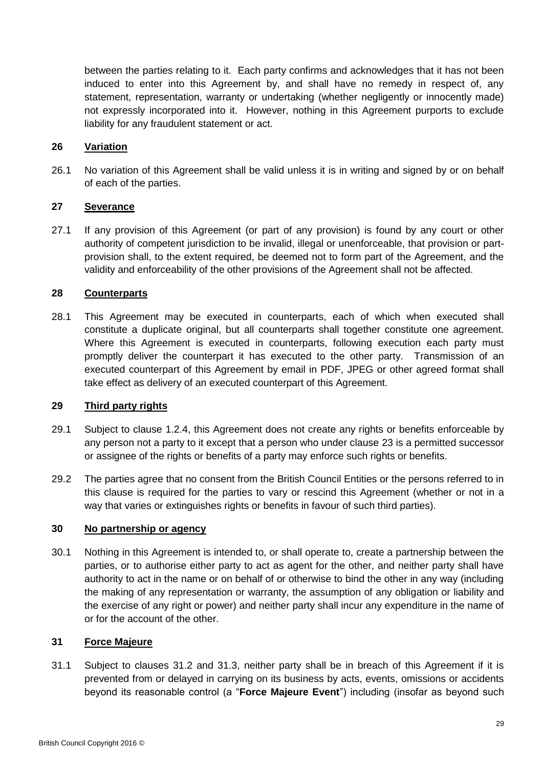between the parties relating to it. Each party confirms and acknowledges that it has not been induced to enter into this Agreement by, and shall have no remedy in respect of, any statement, representation, warranty or undertaking (whether negligently or innocently made) not expressly incorporated into it. However, nothing in this Agreement purports to exclude liability for any fraudulent statement or act.

## <span id="page-28-0"></span>**26 Variation**

26.1 No variation of this Agreement shall be valid unless it is in writing and signed by or on behalf of each of the parties.

## **27 Severance**

27.1 If any provision of this Agreement (or part of any provision) is found by any court or other authority of competent jurisdiction to be invalid, illegal or unenforceable, that provision or partprovision shall, to the extent required, be deemed not to form part of the Agreement, and the validity and enforceability of the other provisions of the Agreement shall not be affected.

### **28 Counterparts**

28.1 This Agreement may be executed in counterparts, each of which when executed shall constitute a duplicate original, but all counterparts shall together constitute one agreement. Where this Agreement is executed in counterparts, following execution each party must promptly deliver the counterpart it has executed to the other party. Transmission of an executed counterpart of this Agreement by email in PDF, JPEG or other agreed format shall take effect as delivery of an executed counterpart of this Agreement.

### **29 Third party rights**

- 29.1 Subject to clause [1.2.4,](#page-11-0) this Agreement does not create any rights or benefits enforceable by any person not a party to it except that a person who under clause [23](#page-27-1) is a permitted successor or assignee of the rights or benefits of a party may enforce such rights or benefits.
- 29.2 The parties agree that no consent from the British Council Entities or the persons referred to in this clause is required for the parties to vary or rescind this Agreement (whether or not in a way that varies or extinguishes rights or benefits in favour of such third parties).

#### **30 No partnership or agency**

30.1 Nothing in this Agreement is intended to, or shall operate to, create a partnership between the parties, or to authorise either party to act as agent for the other, and neither party shall have authority to act in the name or on behalf of or otherwise to bind the other in any way (including the making of any representation or warranty, the assumption of any obligation or liability and the exercise of any right or power) and neither party shall incur any expenditure in the name of or for the account of the other.

### <span id="page-28-2"></span>**31 Force Majeure**

<span id="page-28-1"></span>31.1 Subject to clauses [31.2](#page-29-1) and [31.3,](#page-29-2) neither party shall be in breach of this Agreement if it is prevented from or delayed in carrying on its business by acts, events, omissions or accidents beyond its reasonable control (a "**Force Majeure Event**") including (insofar as beyond such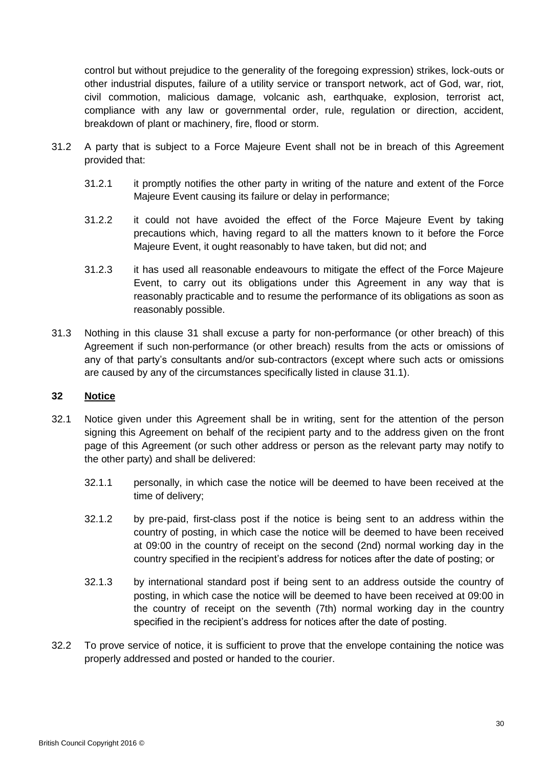control but without prejudice to the generality of the foregoing expression) strikes, lock-outs or other industrial disputes, failure of a utility service or transport network, act of God, war, riot, civil commotion, malicious damage, volcanic ash, earthquake, explosion, terrorist act, compliance with any law or governmental order, rule, regulation or direction, accident, breakdown of plant or machinery, fire, flood or storm.

- <span id="page-29-1"></span>31.2 A party that is subject to a Force Majeure Event shall not be in breach of this Agreement provided that:
	- 31.2.1 it promptly notifies the other party in writing of the nature and extent of the Force Majeure Event causing its failure or delay in performance;
	- 31.2.2 it could not have avoided the effect of the Force Majeure Event by taking precautions which, having regard to all the matters known to it before the Force Majeure Event, it ought reasonably to have taken, but did not; and
	- 31.2.3 it has used all reasonable endeavours to mitigate the effect of the Force Majeure Event, to carry out its obligations under this Agreement in any way that is reasonably practicable and to resume the performance of its obligations as soon as reasonably possible.
- <span id="page-29-2"></span>31.3 Nothing in this clause [31](#page-28-2) shall excuse a party for non-performance (or other breach) of this Agreement if such non-performance (or other breach) results from the acts or omissions of any of that party's consultants and/or sub-contractors (except where such acts or omissions are caused by any of the circumstances specifically listed in clause [31.1\)](#page-28-1).

# <span id="page-29-0"></span>**32 Notice**

- 32.1 Notice given under this Agreement shall be in writing, sent for the attention of the person signing this Agreement on behalf of the recipient party and to the address given on the front page of this Agreement (or such other address or person as the relevant party may notify to the other party) and shall be delivered:
	- 32.1.1 personally, in which case the notice will be deemed to have been received at the time of delivery;
	- 32.1.2 by pre-paid, first-class post if the notice is being sent to an address within the country of posting, in which case the notice will be deemed to have been received at 09:00 in the country of receipt on the second (2nd) normal working day in the country specified in the recipient's address for notices after the date of posting; or
	- 32.1.3 by international standard post if being sent to an address outside the country of posting, in which case the notice will be deemed to have been received at 09:00 in the country of receipt on the seventh (7th) normal working day in the country specified in the recipient's address for notices after the date of posting.
- 32.2 To prove service of notice, it is sufficient to prove that the envelope containing the notice was properly addressed and posted or handed to the courier.